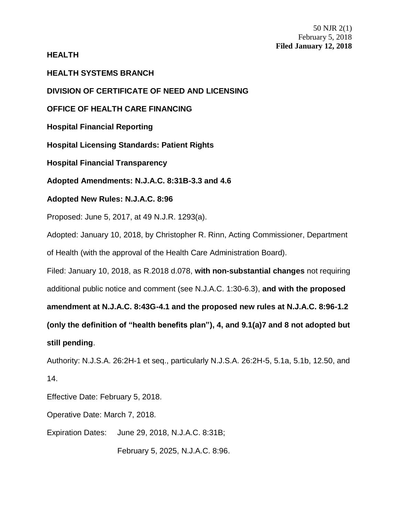# **HEALTH**

**HEALTH SYSTEMS BRANCH**

**DIVISION OF CERTIFICATE OF NEED AND LICENSING**

**OFFICE OF HEALTH CARE FINANCING**

**Hospital Financial Reporting**

**Hospital Licensing Standards: Patient Rights**

**Hospital Financial Transparency**

**Adopted Amendments: N.J.A.C. 8:31B-3.3 and 4.6**

# **Adopted New Rules: N.J.A.C. 8:96**

Proposed: June 5, 2017, at 49 N.J.R. 1293(a).

Adopted: January 10, 2018, by Christopher R. Rinn, Acting Commissioner, Department of Health (with the approval of the Health Care Administration Board).

Filed: January 10, 2018, as R.2018 d.078, **with non-substantial changes** not requiring

additional public notice and comment (see N.J.A.C. 1:30-6.3), **and with the proposed** 

**amendment at N.J.A.C. 8:43G-4.1 and the proposed new rules at N.J.A.C. 8:96-1.2** 

**(only the definition of "health benefits plan"), 4, and 9.1(a)7 and 8 not adopted but** 

**still pending**.

Authority: N.J.S.A. 26:2H-1 et seq., particularly N.J.S.A. 26:2H-5, 5.1a, 5.1b, 12.50, and 14.

Effective Date: February 5, 2018.

Operative Date: March 7, 2018.

Expiration Dates: June 29, 2018, N.J.A.C. 8:31B;

February 5, 2025, N.J.A.C. 8:96.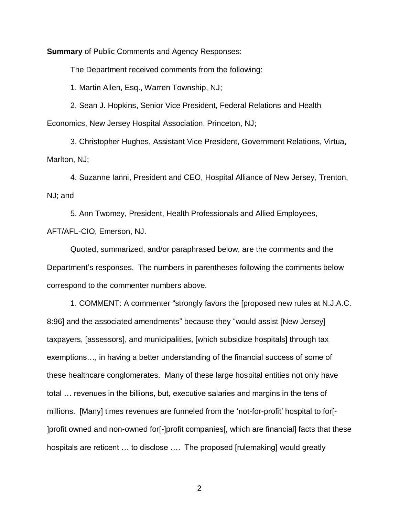**Summary** of Public Comments and Agency Responses:

The Department received comments from the following:

1. Martin Allen, Esq., Warren Township, NJ;

2. Sean J. Hopkins, Senior Vice President, Federal Relations and Health Economics, New Jersey Hospital Association, Princeton, NJ;

3. Christopher Hughes, Assistant Vice President, Government Relations, Virtua, Marlton, NJ;

4. Suzanne Ianni, President and CEO, Hospital Alliance of New Jersey, Trenton, NJ; and

5. Ann Twomey, President, Health Professionals and Allied Employees, AFT/AFL-CIO, Emerson, NJ.

Quoted, summarized, and/or paraphrased below, are the comments and the Department's responses. The numbers in parentheses following the comments below correspond to the commenter numbers above.

1. COMMENT: A commenter "strongly favors the [proposed new rules at N.J.A.C. 8:96] and the associated amendments" because they "would assist [New Jersey] taxpayers, [assessors], and municipalities, [which subsidize hospitals] through tax exemptions…, in having a better understanding of the financial success of some of these healthcare conglomerates. Many of these large hospital entities not only have total … revenues in the billions, but, executive salaries and margins in the tens of millions. [Many] times revenues are funneled from the 'not-for-profit' hospital to for[- ]profit owned and non-owned for[-]profit companies[, which are financial] facts that these hospitals are reticent … to disclose …. The proposed [rulemaking] would greatly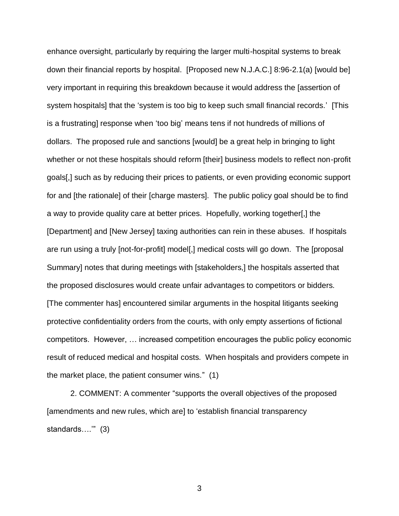enhance oversight, particularly by requiring the larger multi-hospital systems to break down their financial reports by hospital. [Proposed new N.J.A.C.] 8:96-2.1(a) [would be] very important in requiring this breakdown because it would address the [assertion of system hospitals] that the 'system is too big to keep such small financial records.' [This is a frustrating] response when 'too big' means tens if not hundreds of millions of dollars. The proposed rule and sanctions [would] be a great help in bringing to light whether or not these hospitals should reform [their] business models to reflect non-profit goals[,] such as by reducing their prices to patients, or even providing economic support for and [the rationale] of their [charge masters]. The public policy goal should be to find a way to provide quality care at better prices. Hopefully, working together[,] the [Department] and [New Jersey] taxing authorities can rein in these abuses. If hospitals are run using a truly [not-for-profit] model[,] medical costs will go down. The [proposal Summary] notes that during meetings with [stakeholders,] the hospitals asserted that the proposed disclosures would create unfair advantages to competitors or bidders. [The commenter has] encountered similar arguments in the hospital litigants seeking protective confidentiality orders from the courts, with only empty assertions of fictional competitors. However, … increased competition encourages the public policy economic result of reduced medical and hospital costs. When hospitals and providers compete in the market place, the patient consumer wins." (1)

2. COMMENT: A commenter "supports the overall objectives of the proposed [amendments and new rules, which are] to 'establish financial transparency standards….'" (3)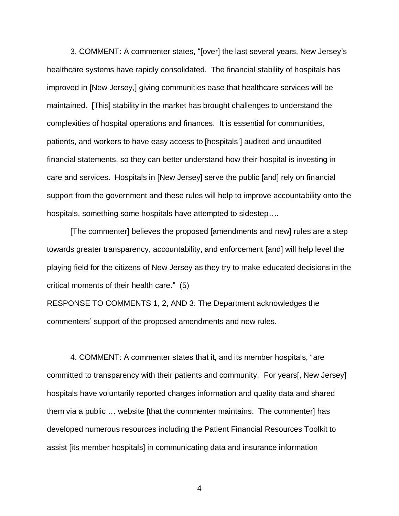3. COMMENT: A commenter states, "[over] the last several years, New Jersey's healthcare systems have rapidly consolidated. The financial stability of hospitals has improved in [New Jersey,] giving communities ease that healthcare services will be maintained. [This] stability in the market has brought challenges to understand the complexities of hospital operations and finances. It is essential for communities, patients, and workers to have easy access to [hospitals'] audited and unaudited financial statements, so they can better understand how their hospital is investing in care and services. Hospitals in [New Jersey] serve the public [and] rely on financial support from the government and these rules will help to improve accountability onto the hospitals, something some hospitals have attempted to sidestep….

[The commenter] believes the proposed [amendments and new] rules are a step towards greater transparency, accountability, and enforcement [and] will help level the playing field for the citizens of New Jersey as they try to make educated decisions in the critical moments of their health care." (5)

RESPONSE TO COMMENTS 1, 2, AND 3: The Department acknowledges the commenters' support of the proposed amendments and new rules.

4. COMMENT: A commenter states that it, and its member hospitals, "are committed to transparency with their patients and community. For years[, New Jersey] hospitals have voluntarily reported charges information and quality data and shared them via a public … website [that the commenter maintains. The commenter] has developed numerous resources including the Patient Financial Resources Toolkit to assist [its member hospitals] in communicating data and insurance information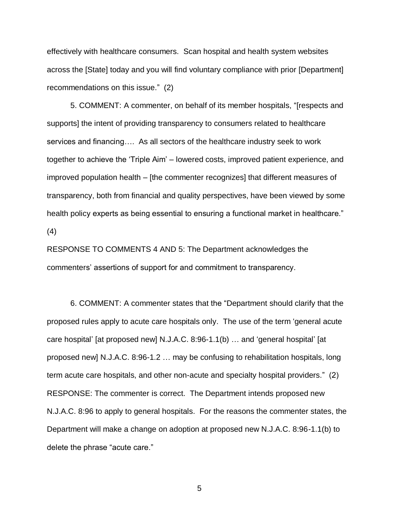effectively with healthcare consumers. Scan hospital and health system websites across the [State] today and you will find voluntary compliance with prior [Department] recommendations on this issue." (2)

5. COMMENT: A commenter, on behalf of its member hospitals, "[respects and supports] the intent of providing transparency to consumers related to healthcare services and financing…. As all sectors of the healthcare industry seek to work together to achieve the 'Triple Aim' – lowered costs, improved patient experience, and improved population health – [the commenter recognizes] that different measures of transparency, both from financial and quality perspectives, have been viewed by some health policy experts as being essential to ensuring a functional market in healthcare." (4)

RESPONSE TO COMMENTS 4 AND 5: The Department acknowledges the commenters' assertions of support for and commitment to transparency.

6. COMMENT: A commenter states that the "Department should clarify that the proposed rules apply to acute care hospitals only. The use of the term 'general acute care hospital' [at proposed new] N.J.A.C. 8:96-1.1(b) … and 'general hospital' [at proposed new] N.J.A.C. 8:96-1.2 … may be confusing to rehabilitation hospitals, long term acute care hospitals, and other non-acute and specialty hospital providers." (2) RESPONSE: The commenter is correct. The Department intends proposed new N.J.A.C. 8:96 to apply to general hospitals. For the reasons the commenter states, the Department will make a change on adoption at proposed new N.J.A.C. 8:96-1.1(b) to delete the phrase "acute care."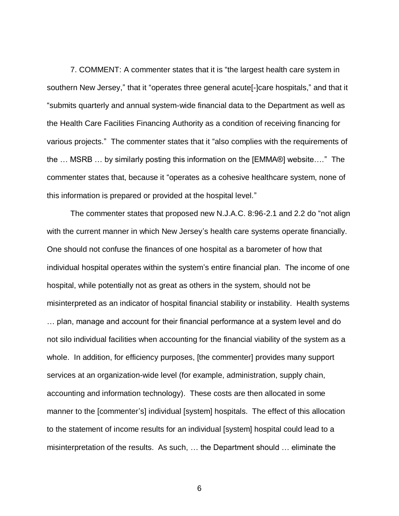7. COMMENT: A commenter states that it is "the largest health care system in southern New Jersey," that it "operates three general acute[-]care hospitals," and that it "submits quarterly and annual system-wide financial data to the Department as well as the Health Care Facilities Financing Authority as a condition of receiving financing for various projects." The commenter states that it "also complies with the requirements of the … MSRB … by similarly posting this information on the [EMMA®] website…." The commenter states that, because it "operates as a cohesive healthcare system, none of this information is prepared or provided at the hospital level."

The commenter states that proposed new N.J.A.C. 8:96-2.1 and 2.2 do "not align with the current manner in which New Jersey's health care systems operate financially. One should not confuse the finances of one hospital as a barometer of how that individual hospital operates within the system's entire financial plan. The income of one hospital, while potentially not as great as others in the system, should not be misinterpreted as an indicator of hospital financial stability or instability. Health systems … plan, manage and account for their financial performance at a system level and do not silo individual facilities when accounting for the financial viability of the system as a whole. In addition, for efficiency purposes, [the commenter] provides many support services at an organization-wide level (for example, administration, supply chain, accounting and information technology). These costs are then allocated in some manner to the [commenter's] individual [system] hospitals. The effect of this allocation to the statement of income results for an individual [system] hospital could lead to a misinterpretation of the results. As such, … the Department should … eliminate the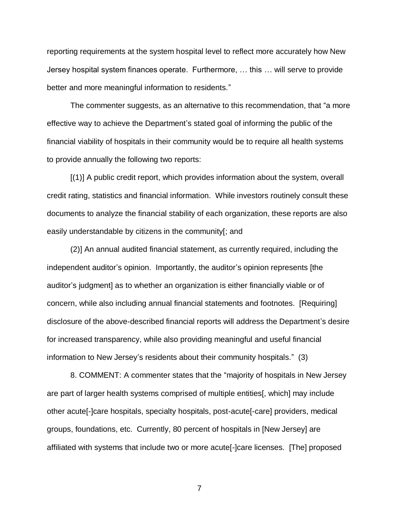reporting requirements at the system hospital level to reflect more accurately how New Jersey hospital system finances operate. Furthermore, … this … will serve to provide better and more meaningful information to residents."

The commenter suggests, as an alternative to this recommendation, that "a more effective way to achieve the Department's stated goal of informing the public of the financial viability of hospitals in their community would be to require all health systems to provide annually the following two reports:

[(1)] A public credit report, which provides information about the system, overall credit rating, statistics and financial information. While investors routinely consult these documents to analyze the financial stability of each organization, these reports are also easily understandable by citizens in the community[; and

(2)] An annual audited financial statement, as currently required, including the independent auditor's opinion. Importantly, the auditor's opinion represents [the auditor's judgment] as to whether an organization is either financially viable or of concern, while also including annual financial statements and footnotes. [Requiring] disclosure of the above-described financial reports will address the Department's desire for increased transparency, while also providing meaningful and useful financial information to New Jersey's residents about their community hospitals." (3)

8. COMMENT: A commenter states that the "majority of hospitals in New Jersey are part of larger health systems comprised of multiple entities[, which] may include other acute[-]care hospitals, specialty hospitals, post-acute[-care] providers, medical groups, foundations, etc. Currently, 80 percent of hospitals in [New Jersey] are affiliated with systems that include two or more acute[-]care licenses. [The] proposed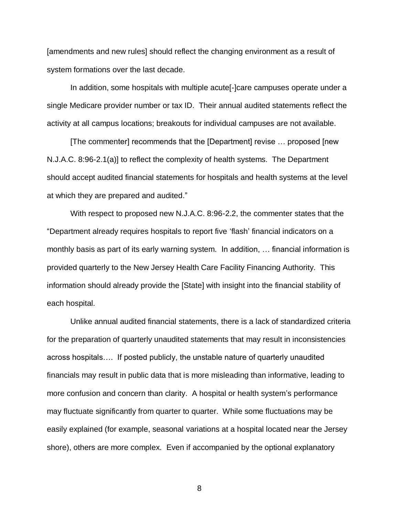[amendments and new rules] should reflect the changing environment as a result of system formations over the last decade.

In addition, some hospitals with multiple acute[-]care campuses operate under a single Medicare provider number or tax ID. Their annual audited statements reflect the activity at all campus locations; breakouts for individual campuses are not available.

[The commenter] recommends that the [Department] revise … proposed [new N.J.A.C. 8:96-2.1(a)] to reflect the complexity of health systems. The Department should accept audited financial statements for hospitals and health systems at the level at which they are prepared and audited."

With respect to proposed new N.J.A.C. 8:96-2.2, the commenter states that the "Department already requires hospitals to report five 'flash' financial indicators on a monthly basis as part of its early warning system. In addition, … financial information is provided quarterly to the New Jersey Health Care Facility Financing Authority. This information should already provide the [State] with insight into the financial stability of each hospital.

Unlike annual audited financial statements, there is a lack of standardized criteria for the preparation of quarterly unaudited statements that may result in inconsistencies across hospitals…. If posted publicly, the unstable nature of quarterly unaudited financials may result in public data that is more misleading than informative, leading to more confusion and concern than clarity. A hospital or health system's performance may fluctuate significantly from quarter to quarter. While some fluctuations may be easily explained (for example, seasonal variations at a hospital located near the Jersey shore), others are more complex. Even if accompanied by the optional explanatory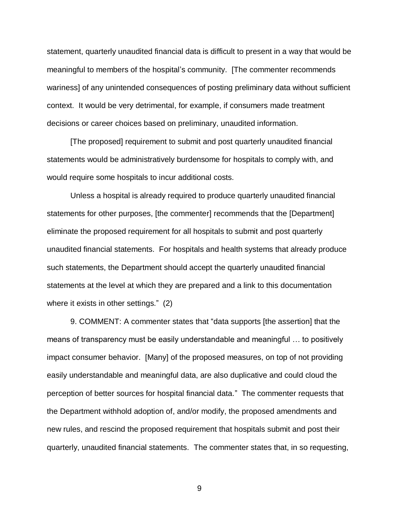statement, quarterly unaudited financial data is difficult to present in a way that would be meaningful to members of the hospital's community. [The commenter recommends wariness] of any unintended consequences of posting preliminary data without sufficient context. It would be very detrimental, for example, if consumers made treatment decisions or career choices based on preliminary, unaudited information.

[The proposed] requirement to submit and post quarterly unaudited financial statements would be administratively burdensome for hospitals to comply with, and would require some hospitals to incur additional costs.

Unless a hospital is already required to produce quarterly unaudited financial statements for other purposes, [the commenter] recommends that the [Department] eliminate the proposed requirement for all hospitals to submit and post quarterly unaudited financial statements. For hospitals and health systems that already produce such statements, the Department should accept the quarterly unaudited financial statements at the level at which they are prepared and a link to this documentation where it exists in other settings." (2)

9. COMMENT: A commenter states that "data supports [the assertion] that the means of transparency must be easily understandable and meaningful … to positively impact consumer behavior. [Many] of the proposed measures, on top of not providing easily understandable and meaningful data, are also duplicative and could cloud the perception of better sources for hospital financial data." The commenter requests that the Department withhold adoption of, and/or modify, the proposed amendments and new rules, and rescind the proposed requirement that hospitals submit and post their quarterly, unaudited financial statements. The commenter states that, in so requesting,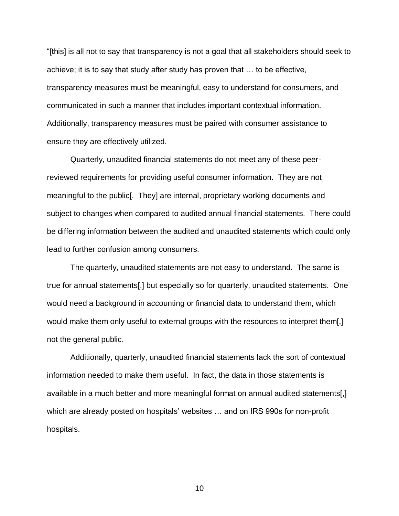"[this] is all not to say that transparency is not a goal that all stakeholders should seek to achieve; it is to say that study after study has proven that … to be effective, transparency measures must be meaningful, easy to understand for consumers, and communicated in such a manner that includes important contextual information. Additionally, transparency measures must be paired with consumer assistance to ensure they are effectively utilized.

Quarterly, unaudited financial statements do not meet any of these peerreviewed requirements for providing useful consumer information. They are not meaningful to the public[. They] are internal, proprietary working documents and subject to changes when compared to audited annual financial statements. There could be differing information between the audited and unaudited statements which could only lead to further confusion among consumers.

The quarterly, unaudited statements are not easy to understand. The same is true for annual statements[,] but especially so for quarterly, unaudited statements. One would need a background in accounting or financial data to understand them, which would make them only useful to external groups with the resources to interpret them[,] not the general public.

Additionally, quarterly, unaudited financial statements lack the sort of contextual information needed to make them useful. In fact, the data in those statements is available in a much better and more meaningful format on annual audited statements[,] which are already posted on hospitals' websites … and on IRS 990s for non-profit hospitals.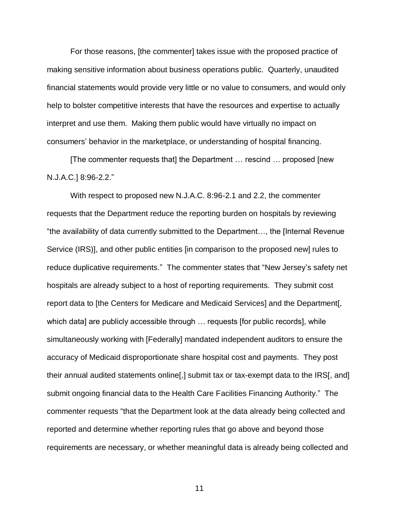For those reasons, [the commenter] takes issue with the proposed practice of making sensitive information about business operations public. Quarterly, unaudited financial statements would provide very little or no value to consumers, and would only help to bolster competitive interests that have the resources and expertise to actually interpret and use them. Making them public would have virtually no impact on consumers' behavior in the marketplace, or understanding of hospital financing.

[The commenter requests that] the Department … rescind … proposed [new N.J.A.C.] 8:96-2.2."

With respect to proposed new N.J.A.C. 8:96-2.1 and 2.2, the commenter requests that the Department reduce the reporting burden on hospitals by reviewing "the availability of data currently submitted to the Department…, the [Internal Revenue Service (IRS)], and other public entities [in comparison to the proposed new] rules to reduce duplicative requirements." The commenter states that "New Jersey's safety net hospitals are already subject to a host of reporting requirements. They submit cost report data to [the Centers for Medicare and Medicaid Services] and the Department[, which data] are publicly accessible through ... requests [for public records], while simultaneously working with [Federally] mandated independent auditors to ensure the accuracy of Medicaid disproportionate share hospital cost and payments. They post their annual audited statements online[,] submit tax or tax-exempt data to the IRS[, and] submit ongoing financial data to the Health Care Facilities Financing Authority." The commenter requests "that the Department look at the data already being collected and reported and determine whether reporting rules that go above and beyond those requirements are necessary, or whether meaningful data is already being collected and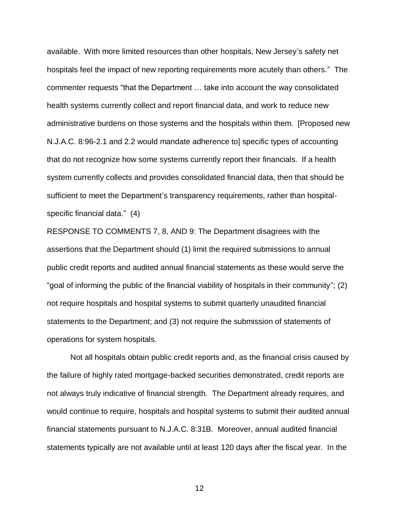available. With more limited resources than other hospitals, New Jersey's safety net hospitals feel the impact of new reporting requirements more acutely than others." The commenter requests "that the Department … take into account the way consolidated health systems currently collect and report financial data, and work to reduce new administrative burdens on those systems and the hospitals within them. [Proposed new N.J.A.C. 8:96-2.1 and 2.2 would mandate adherence to] specific types of accounting that do not recognize how some systems currently report their financials. If a health system currently collects and provides consolidated financial data, then that should be sufficient to meet the Department's transparency requirements, rather than hospitalspecific financial data." (4)

RESPONSE TO COMMENTS 7, 8, AND 9: The Department disagrees with the assertions that the Department should (1) limit the required submissions to annual public credit reports and audited annual financial statements as these would serve the "goal of informing the public of the financial viability of hospitals in their community"; (2) not require hospitals and hospital systems to submit quarterly unaudited financial statements to the Department; and (3) not require the submission of statements of operations for system hospitals.

Not all hospitals obtain public credit reports and, as the financial crisis caused by the failure of highly rated mortgage-backed securities demonstrated, credit reports are not always truly indicative of financial strength. The Department already requires, and would continue to require, hospitals and hospital systems to submit their audited annual financial statements pursuant to N.J.A.C. 8:31B. Moreover, annual audited financial statements typically are not available until at least 120 days after the fiscal year. In the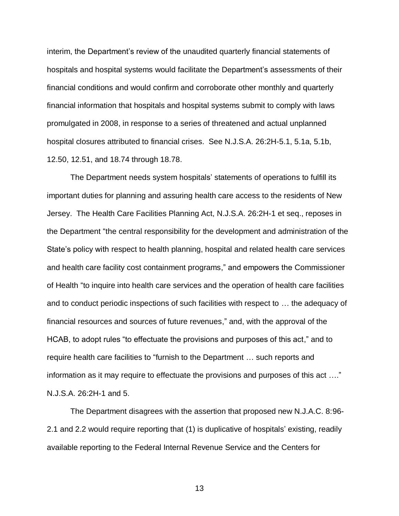interim, the Department's review of the unaudited quarterly financial statements of hospitals and hospital systems would facilitate the Department's assessments of their financial conditions and would confirm and corroborate other monthly and quarterly financial information that hospitals and hospital systems submit to comply with laws promulgated in 2008, in response to a series of threatened and actual unplanned hospital closures attributed to financial crises. See N.J.S.A. 26:2H-5.1, 5.1a, 5.1b, 12.50, 12.51, and 18.74 through 18.78.

The Department needs system hospitals' statements of operations to fulfill its important duties for planning and assuring health care access to the residents of New Jersey. The Health Care Facilities Planning Act, N.J.S.A. 26:2H-1 et seq., reposes in the Department "the central responsibility for the development and administration of the State's policy with respect to health planning, hospital and related health care services and health care facility cost containment programs," and empowers the Commissioner of Health "to inquire into health care services and the operation of health care facilities and to conduct periodic inspections of such facilities with respect to … the adequacy of financial resources and sources of future revenues," and, with the approval of the HCAB, to adopt rules "to effectuate the provisions and purposes of this act," and to require health care facilities to "furnish to the Department … such reports and information as it may require to effectuate the provisions and purposes of this act …." N.J.S.A. 26:2H-1 and 5.

The Department disagrees with the assertion that proposed new N.J.A.C. 8:96- 2.1 and 2.2 would require reporting that (1) is duplicative of hospitals' existing, readily available reporting to the Federal Internal Revenue Service and the Centers for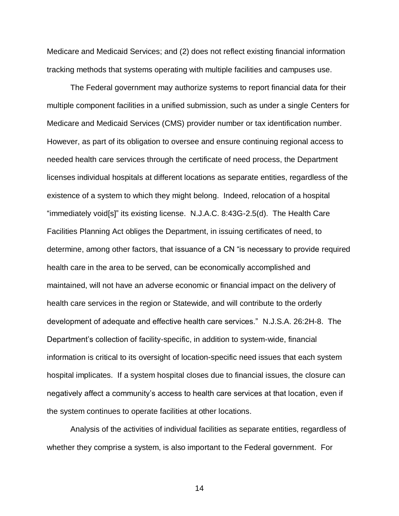Medicare and Medicaid Services; and (2) does not reflect existing financial information tracking methods that systems operating with multiple facilities and campuses use.

The Federal government may authorize systems to report financial data for their multiple component facilities in a unified submission, such as under a single Centers for Medicare and Medicaid Services (CMS) provider number or tax identification number. However, as part of its obligation to oversee and ensure continuing regional access to needed health care services through the certificate of need process, the Department licenses individual hospitals at different locations as separate entities, regardless of the existence of a system to which they might belong. Indeed, relocation of a hospital "immediately void[s]" its existing license. N.J.A.C. 8:43G-2.5(d). The Health Care Facilities Planning Act obliges the Department, in issuing certificates of need, to determine, among other factors, that issuance of a CN "is necessary to provide required health care in the area to be served, can be economically accomplished and maintained, will not have an adverse economic or financial impact on the delivery of health care services in the region or Statewide, and will contribute to the orderly development of adequate and effective health care services." N.J.S.A. 26:2H-8. The Department's collection of facility-specific, in addition to system-wide, financial information is critical to its oversight of location-specific need issues that each system hospital implicates. If a system hospital closes due to financial issues, the closure can negatively affect a community's access to health care services at that location, even if the system continues to operate facilities at other locations.

Analysis of the activities of individual facilities as separate entities, regardless of whether they comprise a system, is also important to the Federal government. For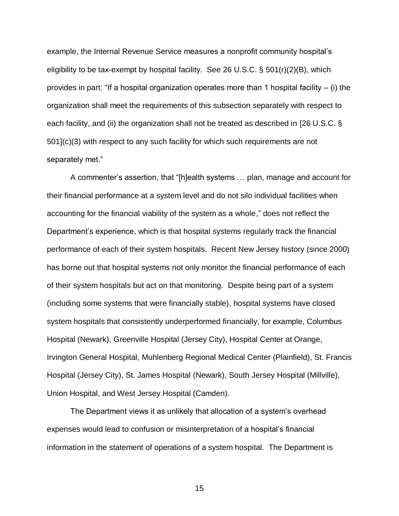example, the Internal Revenue Service measures a nonprofit community hospital's eligibility to be tax-exempt by hospital facility. See 26 U.S.C. § 501(r)(2)(B), which provides in part: "If a hospital organization operates more than 1 hospital facility  $-$  (i) the organization shall meet the requirements of this subsection separately with respect to each facility, and (ii) the organization shall not be treated as described in [26 U.S.C. § 501](c)(3) with respect to any such facility for which such requirements are not separately met."

A commenter's assertion, that "[h]ealth systems … plan, manage and account for their financial performance at a system level and do not silo individual facilities when accounting for the financial viability of the system as a whole," does not reflect the Department's experience, which is that hospital systems regularly track the financial performance of each of their system hospitals. Recent New Jersey history (since 2000) has borne out that hospital systems not only monitor the financial performance of each of their system hospitals but act on that monitoring. Despite being part of a system (including some systems that were financially stable), hospital systems have closed system hospitals that consistently underperformed financially, for example, Columbus Hospital (Newark), Greenville Hospital (Jersey City), Hospital Center at Orange, Irvington General Hospital, Muhlenberg Regional Medical Center (Plainfield), St. Francis Hospital (Jersey City), St. James Hospital (Newark), South Jersey Hospital (Millville), Union Hospital, and West Jersey Hospital (Camden).

The Department views it as unlikely that allocation of a system's overhead expenses would lead to confusion or misinterpretation of a hospital's financial information in the statement of operations of a system hospital. The Department is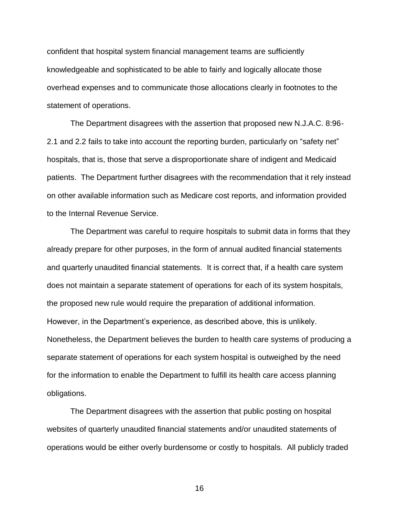confident that hospital system financial management teams are sufficiently knowledgeable and sophisticated to be able to fairly and logically allocate those overhead expenses and to communicate those allocations clearly in footnotes to the statement of operations.

The Department disagrees with the assertion that proposed new N.J.A.C. 8:96- 2.1 and 2.2 fails to take into account the reporting burden, particularly on "safety net" hospitals, that is, those that serve a disproportionate share of indigent and Medicaid patients. The Department further disagrees with the recommendation that it rely instead on other available information such as Medicare cost reports, and information provided to the Internal Revenue Service.

The Department was careful to require hospitals to submit data in forms that they already prepare for other purposes, in the form of annual audited financial statements and quarterly unaudited financial statements. It is correct that, if a health care system does not maintain a separate statement of operations for each of its system hospitals, the proposed new rule would require the preparation of additional information. However, in the Department's experience, as described above, this is unlikely. Nonetheless, the Department believes the burden to health care systems of producing a separate statement of operations for each system hospital is outweighed by the need for the information to enable the Department to fulfill its health care access planning obligations.

The Department disagrees with the assertion that public posting on hospital websites of quarterly unaudited financial statements and/or unaudited statements of operations would be either overly burdensome or costly to hospitals. All publicly traded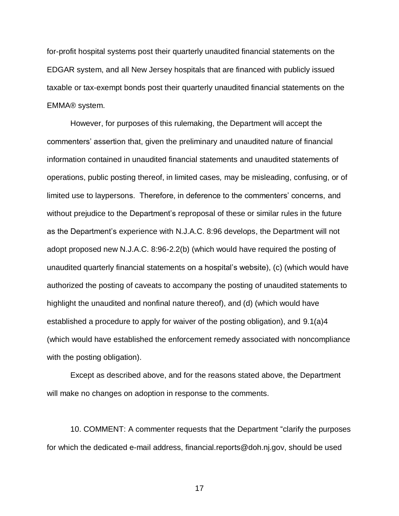for-profit hospital systems post their quarterly unaudited financial statements on the EDGAR system, and all New Jersey hospitals that are financed with publicly issued taxable or tax-exempt bonds post their quarterly unaudited financial statements on the EMMA® system.

However, for purposes of this rulemaking, the Department will accept the commenters' assertion that, given the preliminary and unaudited nature of financial information contained in unaudited financial statements and unaudited statements of operations, public posting thereof, in limited cases*,* may be misleading, confusing, or of limited use to laypersons. Therefore, in deference to the commenters' concerns, and without prejudice to the Department's reproposal of these or similar rules in the future as the Department's experience with N.J.A.C. 8:96 develops, the Department will not adopt proposed new N.J.A.C. 8:96-2.2(b) (which would have required the posting of unaudited quarterly financial statements on a hospital's website), (c) (which would have authorized the posting of caveats to accompany the posting of unaudited statements to highlight the unaudited and nonfinal nature thereof), and (d) (which would have established a procedure to apply for waiver of the posting obligation), and 9.1(a)4 (which would have established the enforcement remedy associated with noncompliance with the posting obligation).

Except as described above, and for the reasons stated above, the Department will make no changes on adoption in response to the comments.

10. COMMENT: A commenter requests that the Department "clarify the purposes for which the dedicated e-mail address, financial.reports@doh.nj.gov, should be used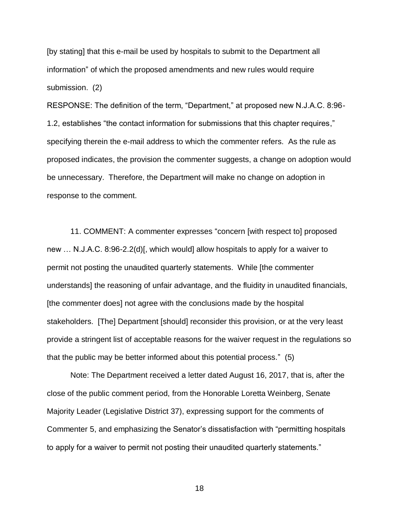[by stating] that this e-mail be used by hospitals to submit to the Department all information" of which the proposed amendments and new rules would require submission. (2)

RESPONSE: The definition of the term, "Department," at proposed new N.J.A.C. 8:96- 1.2, establishes "the contact information for submissions that this chapter requires," specifying therein the e-mail address to which the commenter refers. As the rule as proposed indicates, the provision the commenter suggests, a change on adoption would be unnecessary. Therefore, the Department will make no change on adoption in response to the comment.

11. COMMENT: A commenter expresses "concern [with respect to] proposed new … N.J.A.C. 8:96-2.2(d)[, which would] allow hospitals to apply for a waiver to permit not posting the unaudited quarterly statements. While [the commenter understands] the reasoning of unfair advantage, and the fluidity in unaudited financials, [the commenter does] not agree with the conclusions made by the hospital stakeholders. [The] Department [should] reconsider this provision, or at the very least provide a stringent list of acceptable reasons for the waiver request in the regulations so that the public may be better informed about this potential process." (5)

Note: The Department received a letter dated August 16, 2017, that is, after the close of the public comment period, from the Honorable Loretta Weinberg, Senate Majority Leader (Legislative District 37), expressing support for the comments of Commenter 5, and emphasizing the Senator's dissatisfaction with "permitting hospitals to apply for a waiver to permit not posting their unaudited quarterly statements."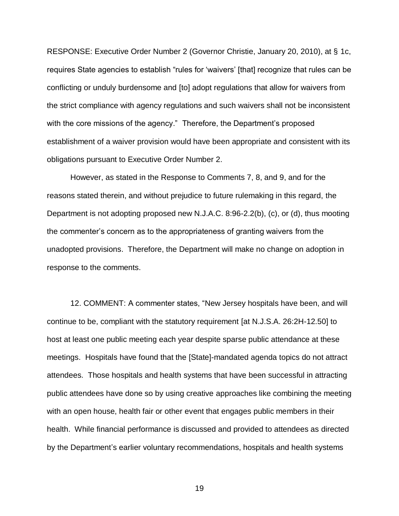RESPONSE: Executive Order Number 2 (Governor Christie, January 20, 2010), at § 1c, requires State agencies to establish "rules for 'waivers' [that] recognize that rules can be conflicting or unduly burdensome and [to] adopt regulations that allow for waivers from the strict compliance with agency regulations and such waivers shall not be inconsistent with the core missions of the agency." Therefore, the Department's proposed establishment of a waiver provision would have been appropriate and consistent with its obligations pursuant to Executive Order Number 2.

However, as stated in the Response to Comments 7, 8, and 9, and for the reasons stated therein, and without prejudice to future rulemaking in this regard, the Department is not adopting proposed new N.J.A.C. 8:96-2.2(b), (c), or (d), thus mooting the commenter's concern as to the appropriateness of granting waivers from the unadopted provisions. Therefore, the Department will make no change on adoption in response to the comments.

12. COMMENT: A commenter states, "New Jersey hospitals have been, and will continue to be, compliant with the statutory requirement [at N.J.S.A. 26:2H-12.50] to host at least one public meeting each year despite sparse public attendance at these meetings. Hospitals have found that the [State]-mandated agenda topics do not attract attendees. Those hospitals and health systems that have been successful in attracting public attendees have done so by using creative approaches like combining the meeting with an open house, health fair or other event that engages public members in their health. While financial performance is discussed and provided to attendees as directed by the Department's earlier voluntary recommendations, hospitals and health systems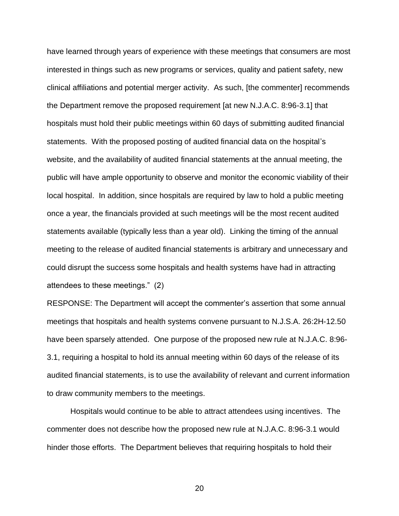have learned through years of experience with these meetings that consumers are most interested in things such as new programs or services, quality and patient safety, new clinical affiliations and potential merger activity. As such, [the commenter] recommends the Department remove the proposed requirement [at new N.J.A.C. 8:96-3.1] that hospitals must hold their public meetings within 60 days of submitting audited financial statements. With the proposed posting of audited financial data on the hospital's website, and the availability of audited financial statements at the annual meeting, the public will have ample opportunity to observe and monitor the economic viability of their local hospital. In addition, since hospitals are required by law to hold a public meeting once a year, the financials provided at such meetings will be the most recent audited statements available (typically less than a year old). Linking the timing of the annual meeting to the release of audited financial statements is arbitrary and unnecessary and could disrupt the success some hospitals and health systems have had in attracting attendees to these meetings." (2)

RESPONSE: The Department will accept the commenter's assertion that some annual meetings that hospitals and health systems convene pursuant to N.J.S.A. 26:2H-12.50 have been sparsely attended. One purpose of the proposed new rule at N.J.A.C. 8:96- 3.1, requiring a hospital to hold its annual meeting within 60 days of the release of its audited financial statements, is to use the availability of relevant and current information to draw community members to the meetings.

Hospitals would continue to be able to attract attendees using incentives. The commenter does not describe how the proposed new rule at N.J.A.C. 8:96-3.1 would hinder those efforts. The Department believes that requiring hospitals to hold their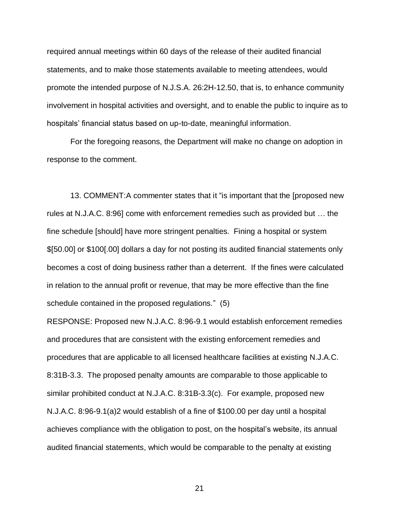required annual meetings within 60 days of the release of their audited financial statements, and to make those statements available to meeting attendees, would promote the intended purpose of N.J.S.A. 26:2H-12.50, that is, to enhance community involvement in hospital activities and oversight, and to enable the public to inquire as to hospitals' financial status based on up-to-date, meaningful information.

For the foregoing reasons, the Department will make no change on adoption in response to the comment.

13. COMMENT:A commenter states that it "is important that the [proposed new rules at N.J.A.C. 8:96] come with enforcement remedies such as provided but … the fine schedule [should] have more stringent penalties. Fining a hospital or system \$[50.00] or \$100[.00] dollars a day for not posting its audited financial statements only becomes a cost of doing business rather than a deterrent. If the fines were calculated in relation to the annual profit or revenue, that may be more effective than the fine schedule contained in the proposed regulations." (5)

RESPONSE: Proposed new N.J.A.C. 8:96-9.1 would establish enforcement remedies and procedures that are consistent with the existing enforcement remedies and procedures that are applicable to all licensed healthcare facilities at existing N.J.A.C. 8:31B-3.3. The proposed penalty amounts are comparable to those applicable to similar prohibited conduct at N.J.A.C. 8:31B-3.3(c). For example, proposed new N.J.A.C. 8:96-9.1(a)2 would establish of a fine of \$100.00 per day until a hospital achieves compliance with the obligation to post, on the hospital's website, its annual audited financial statements, which would be comparable to the penalty at existing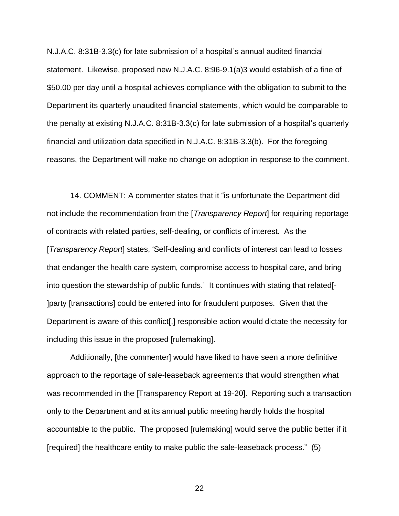N.J.A.C. 8:31B-3.3(c) for late submission of a hospital's annual audited financial statement. Likewise, proposed new N.J.A.C. 8:96-9.1(a)3 would establish of a fine of \$50.00 per day until a hospital achieves compliance with the obligation to submit to the Department its quarterly unaudited financial statements, which would be comparable to the penalty at existing N.J.A.C. 8:31B-3.3(c) for late submission of a hospital's quarterly financial and utilization data specified in N.J.A.C. 8:31B-3.3(b). For the foregoing reasons, the Department will make no change on adoption in response to the comment.

14. COMMENT: A commenter states that it "is unfortunate the Department did not include the recommendation from the [*Transparency Report*] for requiring reportage of contracts with related parties, self-dealing, or conflicts of interest. As the [*Transparency Report*] states, 'Self-dealing and conflicts of interest can lead to losses that endanger the health care system, compromise access to hospital care, and bring into question the stewardship of public funds.' It continues with stating that related[- ]party [transactions] could be entered into for fraudulent purposes. Given that the Department is aware of this conflict[,] responsible action would dictate the necessity for including this issue in the proposed [rulemaking].

Additionally, [the commenter] would have liked to have seen a more definitive approach to the reportage of sale-leaseback agreements that would strengthen what was recommended in the [Transparency Report at 19-20]. Reporting such a transaction only to the Department and at its annual public meeting hardly holds the hospital accountable to the public. The proposed [rulemaking] would serve the public better if it [required] the healthcare entity to make public the sale-leaseback process." (5)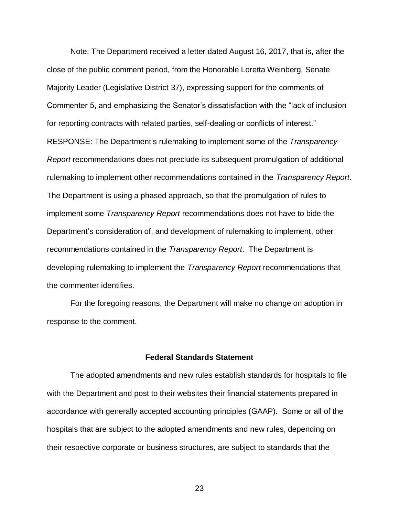Note: The Department received a letter dated August 16, 2017, that is, after the close of the public comment period, from the Honorable Loretta Weinberg, Senate Majority Leader (Legislative District 37), expressing support for the comments of Commenter 5, and emphasizing the Senator's dissatisfaction with the "lack of inclusion for reporting contracts with related parties, self-dealing or conflicts of interest." RESPONSE: The Department's rulemaking to implement some of the *Transparency Report* recommendations does not preclude its subsequent promulgation of additional rulemaking to implement other recommendations contained in the *Transparency Report*. The Department is using a phased approach, so that the promulgation of rules to implement some *Transparency Report* recommendations does not have to bide the Department's consideration of, and development of rulemaking to implement, other recommendations contained in the *Transparency Report*. The Department is developing rulemaking to implement the *Transparency Report* recommendations that the commenter identifies.

For the foregoing reasons, the Department will make no change on adoption in response to the comment.

#### **Federal Standards Statement**

The adopted amendments and new rules establish standards for hospitals to file with the Department and post to their websites their financial statements prepared in accordance with generally accepted accounting principles (GAAP). Some or all of the hospitals that are subject to the adopted amendments and new rules, depending on their respective corporate or business structures, are subject to standards that the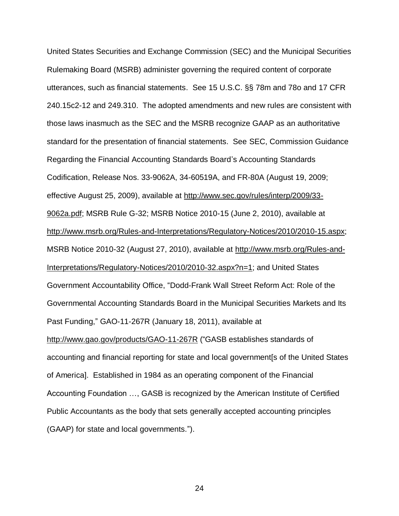United States Securities and Exchange Commission (SEC) and the Municipal Securities Rulemaking Board (MSRB) administer governing the required content of corporate utterances, such as financial statements. See 15 U.S.C. §§ 78m and 78o and 17 CFR 240.15c2-12 and 249.310. The adopted amendments and new rules are consistent with those laws inasmuch as the SEC and the MSRB recognize GAAP as an authoritative standard for the presentation of financial statements. See SEC, Commission Guidance Regarding the Financial Accounting Standards Board's Accounting Standards Codification, Release Nos. 33-9062A, 34-60519A, and FR-80A (August 19, 2009; effective August 25, 2009), available at http://www.sec.gov/rules/interp/2009/33- 9062a.pdf; MSRB Rule G-32; MSRB Notice 2010-15 (June 2, 2010), available at http://www.msrb.org/Rules-and-Interpretations/Regulatory-Notices/2010/2010-15.aspx; MSRB Notice 2010-32 (August 27, 2010), available at http://www.msrb.org/Rules-and-Interpretations/Regulatory-Notices/2010/2010-32.aspx?n=1; and United States Government Accountability Office, "Dodd-Frank Wall Street Reform Act: Role of the Governmental Accounting Standards Board in the Municipal Securities Markets and Its Past Funding," GAO-11-267R (January 18, 2011), available at http://www.gao.gov/products/GAO-11-267R ("GASB establishes standards of accounting and financial reporting for state and local government[s of the United States of America]. Established in 1984 as an operating component of the Financial Accounting Foundation …, GASB is recognized by the American Institute of Certified Public Accountants as the body that sets generally accepted accounting principles (GAAP) for state and local governments.").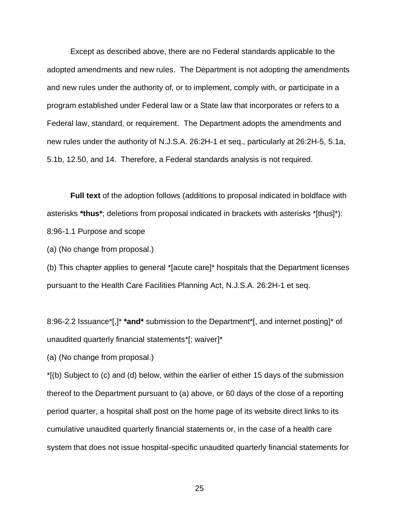Except as described above, there are no Federal standards applicable to the adopted amendments and new rules. The Department is not adopting the amendments and new rules under the authority of, or to implement, comply with, or participate in a program established under Federal law or a State law that incorporates or refers to a Federal law, standard, or requirement. The Department adopts the amendments and new rules under the authority of N.J.S.A. 26:2H-1 et seq., particularly at 26:2H-5, 5.1a, 5.1b, 12.50, and 14. Therefore, a Federal standards analysis is not required.

**Full text** of the adoption follows (additions to proposal indicated in boldface with asterisks **\*thus\***; deletions from proposal indicated in brackets with asterisks \*[thus]\*): 8:96-1.1 Purpose and scope

(a) (No change from proposal.)

(b) This chapter applies to general \*[acute care]\* hospitals that the Department licenses pursuant to the Health Care Facilities Planning Act, N.J.S.A. 26:2H-1 et seq.

8:96-2.2 Issuance\*[,]\* **\*and\*** submission to the Department\*[, and internet posting]\* of unaudited quarterly financial statements\*[; waiver]\*

(a) (No change from proposal.)

\*[(b) Subject to (c) and (d) below, within the earlier of either 15 days of the submission thereof to the Department pursuant to (a) above, or 60 days of the close of a reporting period quarter, a hospital shall post on the home page of its website direct links to its cumulative unaudited quarterly financial statements or, in the case of a health care system that does not issue hospital-specific unaudited quarterly financial statements for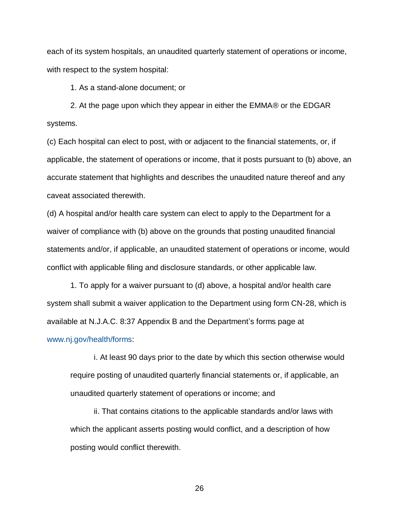each of its system hospitals, an unaudited quarterly statement of operations or income, with respect to the system hospital:

1. As a stand-alone document; or

2. At the page upon which they appear in either the EMMA® or the EDGAR systems.

(c) Each hospital can elect to post, with or adjacent to the financial statements, or, if applicable, the statement of operations or income, that it posts pursuant to (b) above, an accurate statement that highlights and describes the unaudited nature thereof and any caveat associated therewith.

(d) A hospital and/or health care system can elect to apply to the Department for a waiver of compliance with (b) above on the grounds that posting unaudited financial statements and/or, if applicable, an unaudited statement of operations or income, would conflict with applicable filing and disclosure standards, or other applicable law.

1. To apply for a waiver pursuant to (d) above, a hospital and/or health care system shall submit a waiver application to the Department using form CN-28, which is available at N.J.A.C. 8:37 Appendix B and the Department's forms page at

### [www.nj.gov/health/forms:](http://www.nj.gov/health/forms)

i. At least 90 days prior to the date by which this section otherwise would require posting of unaudited quarterly financial statements or, if applicable, an unaudited quarterly statement of operations or income; and

ii. That contains citations to the applicable standards and/or laws with which the applicant asserts posting would conflict, and a description of how posting would conflict therewith.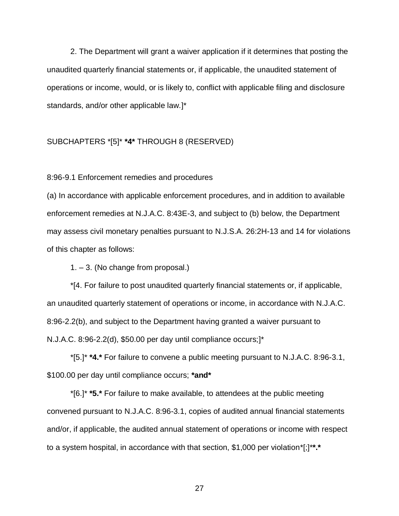2. The Department will grant a waiver application if it determines that posting the unaudited quarterly financial statements or, if applicable, the unaudited statement of operations or income, would, or is likely to, conflict with applicable filing and disclosure standards, and/or other applicable law.]\*

### SUBCHAPTERS \*[5]\* **\*4\*** THROUGH 8 (RESERVED)

8:96-9.1 Enforcement remedies and procedures

(a) In accordance with applicable enforcement procedures, and in addition to available enforcement remedies at N.J.A.C. 8:43E-3, and subject to (b) below, the Department may assess civil monetary penalties pursuant to N.J.S.A. 26:2H-13 and 14 for violations of this chapter as follows:

1. – 3. (No change from proposal.)

\*[4. For failure to post unaudited quarterly financial statements or, if applicable, an unaudited quarterly statement of operations or income, in accordance with N.J.A.C. 8:96-2.2(b), and subject to the Department having granted a waiver pursuant to N.J.A.C. 8:96-2.2(d), \$50.00 per day until compliance occurs;]\*

\*[5.]\* **\*4.\*** For failure to convene a public meeting pursuant to N.J.A.C. 8:96-3.1, \$100.00 per day until compliance occurs; **\*and\***

\*[6.]\* **\*5.\*** For failure to make available, to attendees at the public meeting convened pursuant to N.J.A.C. 8:96-3.1, copies of audited annual financial statements and/or, if applicable, the audited annual statement of operations or income with respect to a system hospital, in accordance with that section, \$1,000 per violation\*[;]\***\*.\***